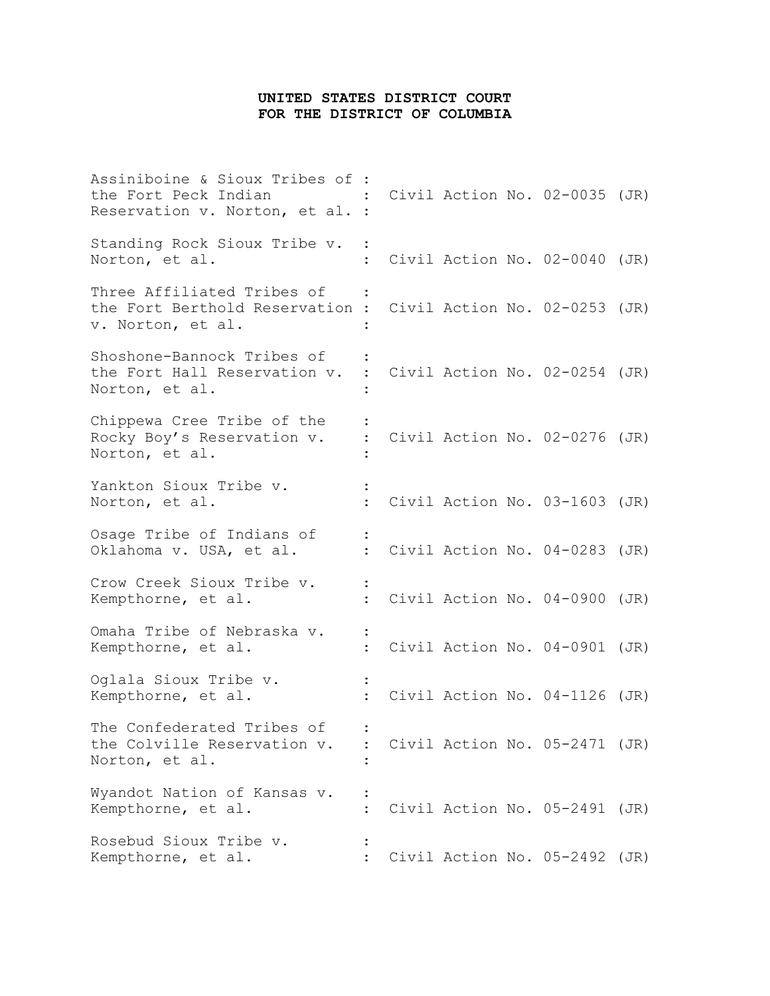## **UNITED STATES DISTRICT COURT FOR THE DISTRICT OF COLUMBIA**

Assiniboine & Sioux Tribes of : the Fort Peck Indian : Civil Action No. 02-0035 (JR) Reservation v. Norton, et al. : Standing Rock Sioux Tribe v. : Norton, et al.  $\qquad \qquad : \qquad \text{Civil Action No. 02-0040 (JR)}$ Three Affiliated Tribes of : the Fort Berthold Reservation : Civil Action No. 02-0253 (JR) v. Norton, et al. : Shoshone-Bannock Tribes of : the Fort Hall Reservation v. : Civil Action No. 02-0254 (JR) Norton, et al. : Chippewa Cree Tribe of the : Rocky Boy's Reservation v. : Civil Action No. 02-0276 (JR) Norton, et al. : Yankton Sioux Tribe v. : Norton, et al.  $\qquad \qquad : \qquad \text{Civil Action No. 03–1603 (JR)}$ Osage Tribe of Indians of : Oklahoma v. USA, et al. : Civil Action No. 04-0283 (JR) Crow Creek Sioux Tribe v. : Kempthorne, et al.  $\qquad \qquad : \qquad \text{Civil Action No. 04-0900 (JR)}$ Omaha Tribe of Nebraska v. : Kempthorne, et al.  $\qquad \qquad : \qquad \text{Civil Action No. 04-0901 (JR)}$ Oglala Sioux Tribe v. : Kempthorne, et al.  $\qquad \qquad : \qquad \text{Civil Action No. 04-1126 (JR)}$ The Confederated Tribes of : the Colville Reservation v. : Civil Action No. 05-2471 (JR) Norton, et al. : Wyandot Nation of Kansas v. : Kempthorne, et al. : Civil Action No. 05-2491 (JR) Rosebud Sioux Tribe v. : Kempthorne, et al.  $\qquad \qquad : \qquad \text{Civil Action No. 05-2492 (JR)}$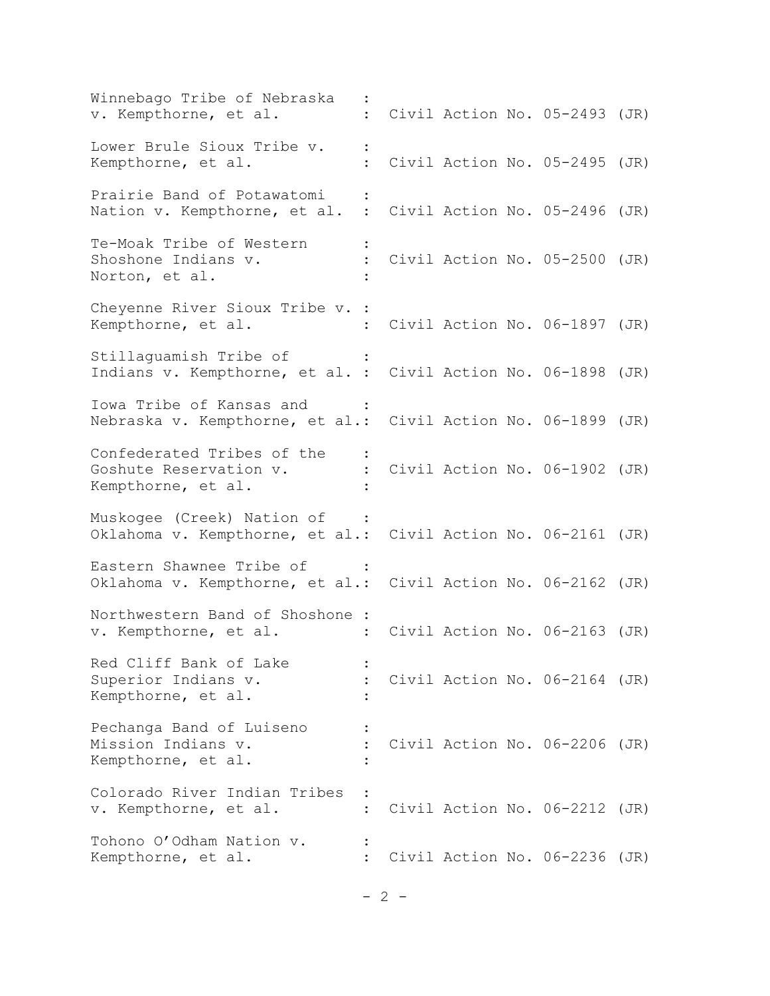Winnebago Tribe of Nebraska Winnebago Tribe of Nebraska :<br>v. Kempthorne, et al. : Civil Action No. 05-2493 (JR) Lower Brule Sioux Tribe v. : Kempthorne, et al.  $\qquad \qquad : \qquad \text{Civil Action No. 05-2495 (JR)}$ Prairie Band of Potawatomi : Nation v. Kempthorne, et al. : Civil Action No. 05-2496 (JR) Te-Moak Tribe of Western : Shoshone Indians v. : Civil Action No. 05-2500 (JR) Norton, et al. : Cheyenne River Sioux Tribe v. : Kempthorne, et al. : Civil Action No. 06-1897 (JR) Stillaguamish Tribe of : Indians v. Kempthorne, et al. : Civil Action No. 06-1898 (JR) Iowa Tribe of Kansas and : Nebraska v. Kempthorne, et al.: Civil Action No. 06-1899 (JR) Confederated Tribes of the : Goshute Reservation v. : Civil Action No. 06-1902 (JR) Kempthorne, et al. : Muskogee (Creek) Nation of : Oklahoma v. Kempthorne, et al.: Civil Action No. 06-2161 (JR) Eastern Shawnee Tribe of Oklahoma v. Kempthorne, et al.: Civil Action No. 06-2162 (JR) Northwestern Band of Shoshone : v. Kempthorne, et al. : Civil Action No. 06-2163 (JR) Red Cliff Bank of Lake : Superior Indians v. : Civil Action No. 06-2164 (JR) Kempthorne, et al. : Pechanga Band of Luiseno : Mission Indians v.  $\cdot$  : Civil Action No. 06-2206 (JR) Kempthorne, et al. : Colorado River Indian Tribes : v. Kempthorne, et al. : Civil Action No. 06-2212 (JR) Tohono O'Odham Nation v. : Kempthorne, et al.  $\qquad \qquad : \qquad \text{Civil Action No. 06-2236 (JR)}$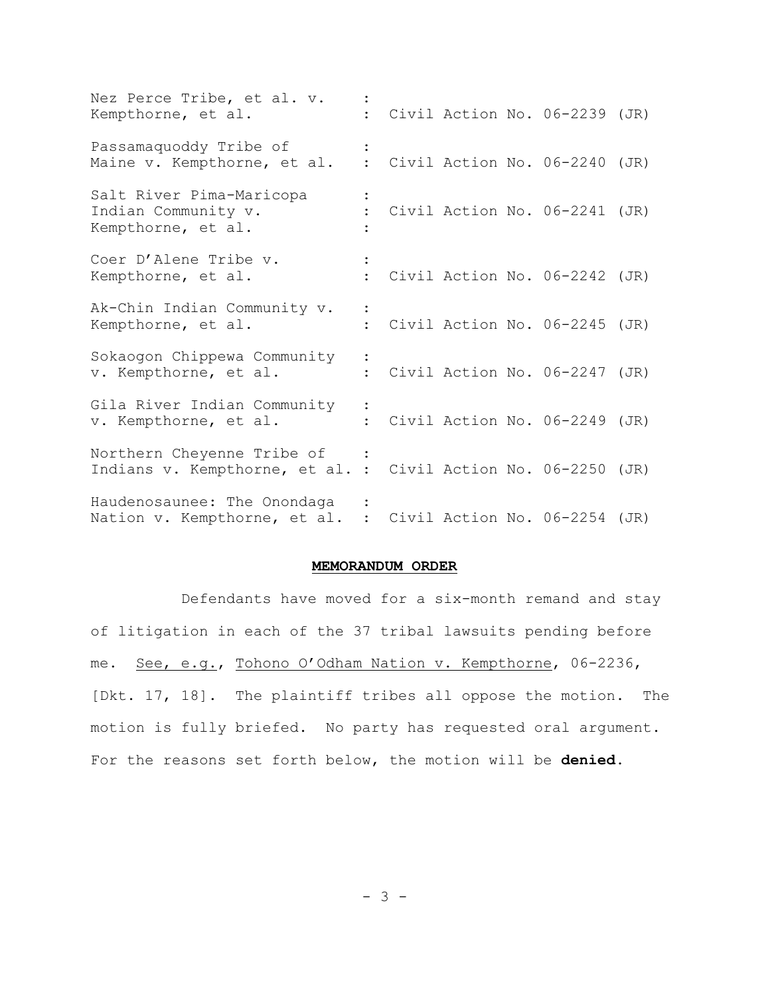| Nez Perce Tribe, et al. v.<br>Kempthorne, et al.                                            |  |  | Civil Action No. 06-2239 (JR)   |  |
|---------------------------------------------------------------------------------------------|--|--|---------------------------------|--|
| Passamaquoddy Tribe of<br>Maine v. Kempthorne, et al.                                       |  |  | : Civil Action No. 06-2240 (JR) |  |
| Salt River Pima-Maricopa<br>Indian Community v.<br>Kempthorne, et al.                       |  |  | Civil Action No. 06-2241 (JR)   |  |
| Coer D'Alene Tribe v.<br>Kempthorne, et al.                                                 |  |  | : Civil Action No. 06-2242 (JR) |  |
| Ak-Chin Indian Community v.<br>Kempthorne, et al.                                           |  |  | : Civil Action No. 06-2245 (JR) |  |
| Sokaogon Chippewa Community<br>v. Kempthorne, et al.                                        |  |  | : Civil Action No. 06-2247 (JR) |  |
| Gila River Indian Community<br>v. Kempthorne, et al.                                        |  |  | : Civil Action No. 06-2249 (JR) |  |
| Northern Cheyenne Tribe of<br>Indians v. Kempthorne, et al. : Civil Action No. 06-2250 (JR) |  |  |                                 |  |
| Haudenosaunee: The Onondaga<br>Nation v. Kempthorne, et al. : Civil Action No. 06-2254 (JR) |  |  |                                 |  |

## **MEMORANDUM ORDER**

Defendants have moved for a six-month remand and stay of litigation in each of the 37 tribal lawsuits pending before me. See, e.g., Tohono O'Odham Nation v. Kempthorne, 06-2236, [Dkt. 17, 18]. The plaintiff tribes all oppose the motion. The motion is fully briefed. No party has requested oral argument. For the reasons set forth below, the motion will be **denied**.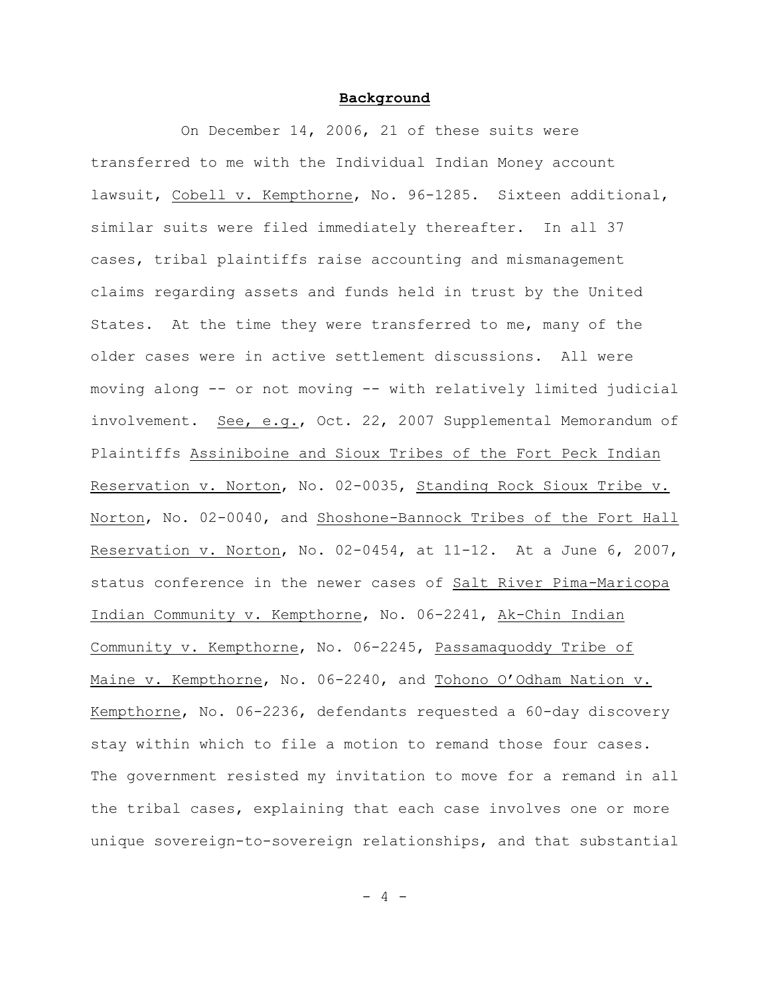## **Background**

On December 14, 2006, 21 of these suits were transferred to me with the Individual Indian Money account lawsuit, Cobell v. Kempthorne, No. 96-1285. Sixteen additional, similar suits were filed immediately thereafter. In all 37 cases, tribal plaintiffs raise accounting and mismanagement claims regarding assets and funds held in trust by the United States. At the time they were transferred to me, many of the older cases were in active settlement discussions. All were moving along -- or not moving -- with relatively limited judicial involvement. See, e.g., Oct. 22, 2007 Supplemental Memorandum of Plaintiffs Assiniboine and Sioux Tribes of the Fort Peck Indian Reservation v. Norton, No. 02-0035, Standing Rock Sioux Tribe v. Norton, No. 02-0040, and Shoshone-Bannock Tribes of the Fort Hall Reservation v. Norton, No. 02-0454, at  $11-12$ . At a June 6, 2007, status conference in the newer cases of Salt River Pima-Maricopa Indian Community v. Kempthorne, No. 06-2241, Ak-Chin Indian Community v. Kempthorne, No. 06-2245, Passamaquoddy Tribe of Maine v. Kempthorne, No. 06-2240, and Tohono O'Odham Nation v. Kempthorne, No. 06-2236, defendants requested a 60-day discovery stay within which to file a motion to remand those four cases. The government resisted my invitation to move for a remand in all the tribal cases, explaining that each case involves one or more unique sovereign-to-sovereign relationships, and that substantial

 $-4 -$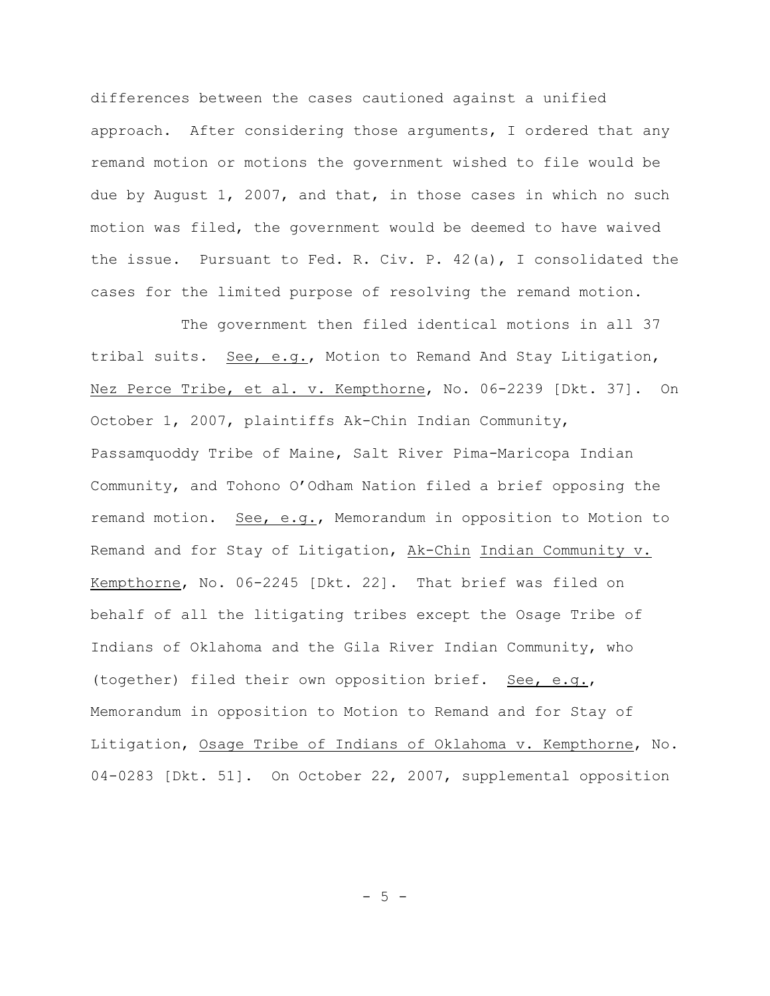differences between the cases cautioned against a unified approach. After considering those arguments, I ordered that any remand motion or motions the government wished to file would be due by August 1, 2007, and that, in those cases in which no such motion was filed, the government would be deemed to have waived the issue. Pursuant to Fed. R. Civ. P. 42(a), I consolidated the cases for the limited purpose of resolving the remand motion.

The government then filed identical motions in all 37 tribal suits. See, e.g., Motion to Remand And Stay Litigation, Nez Perce Tribe, et al. v. Kempthorne, No. 06-2239 [Dkt. 37]. On October 1, 2007, plaintiffs Ak-Chin Indian Community, Passamquoddy Tribe of Maine, Salt River Pima-Maricopa Indian Community, and Tohono O'Odham Nation filed a brief opposing the remand motion. See, e.g., Memorandum in opposition to Motion to Remand and for Stay of Litigation, Ak-Chin Indian Community v. Kempthorne, No. 06-2245 [Dkt. 22]. That brief was filed on behalf of all the litigating tribes except the Osage Tribe of Indians of Oklahoma and the Gila River Indian Community, who (together) filed their own opposition brief. See, e.g., Memorandum in opposition to Motion to Remand and for Stay of Litigation, Osage Tribe of Indians of Oklahoma v. Kempthorne, No. 04-0283 [Dkt. 51]. On October 22, 2007, supplemental opposition

 $-5 -$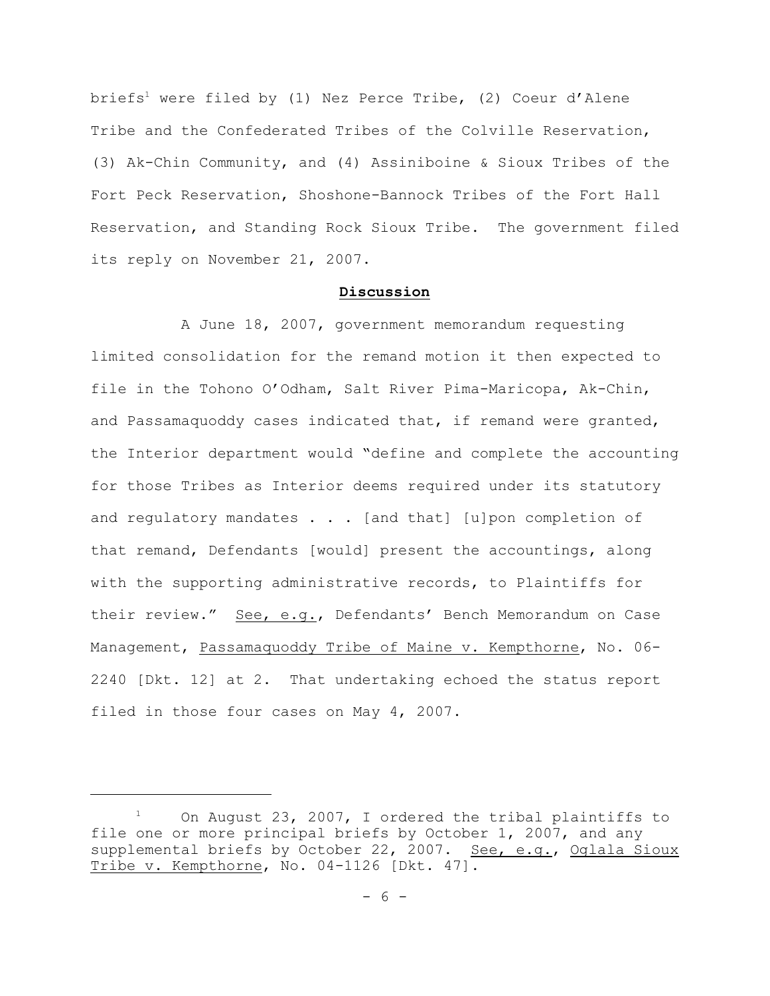briefs<sup>1</sup> were filed by (1) Nez Perce Tribe, (2) Coeur d'Alene Tribe and the Confederated Tribes of the Colville Reservation, (3) Ak-Chin Community, and (4) Assiniboine & Sioux Tribes of the Fort Peck Reservation, Shoshone-Bannock Tribes of the Fort Hall Reservation, and Standing Rock Sioux Tribe. The government filed its reply on November 21, 2007.

## **Discussion**

A June 18, 2007, government memorandum requesting limited consolidation for the remand motion it then expected to file in the Tohono O'Odham, Salt River Pima-Maricopa, Ak-Chin, and Passamaquoddy cases indicated that, if remand were granted, the Interior department would "define and complete the accounting for those Tribes as Interior deems required under its statutory and regulatory mandates  $\ldots$  [and that] [u]pon completion of that remand, Defendants [would] present the accountings, along with the supporting administrative records, to Plaintiffs for their review." See, e.g., Defendants' Bench Memorandum on Case Management, Passamaquoddy Tribe of Maine v. Kempthorne, No. 06- 2240 [Dkt. 12] at 2. That undertaking echoed the status report filed in those four cases on May 4, 2007.

 $1$  On August 23, 2007, I ordered the tribal plaintiffs to file one or more principal briefs by October 1, 2007, and any supplemental briefs by October 22, 2007. See, e.g., Oglala Sioux Tribe v. Kempthorne, No. 04-1126 [Dkt. 47].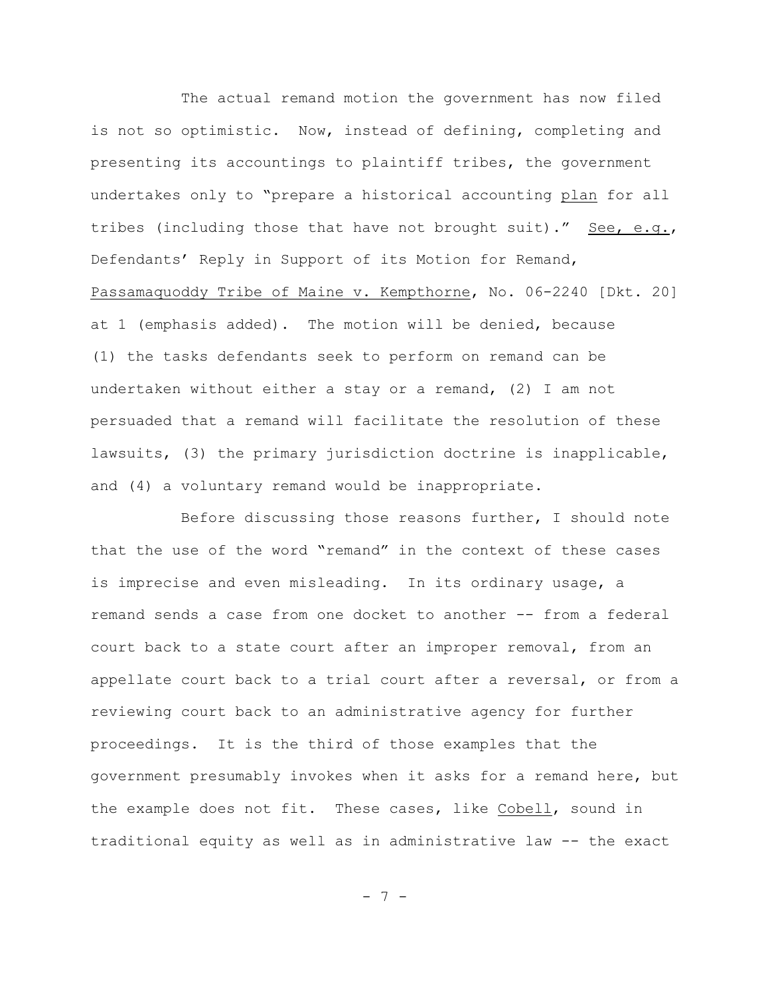The actual remand motion the government has now filed is not so optimistic. Now, instead of defining, completing and presenting its accountings to plaintiff tribes, the government undertakes only to "prepare a historical accounting plan for all tribes (including those that have not brought suit)." See, e.g., Defendants' Reply in Support of its Motion for Remand, Passamaquoddy Tribe of Maine v. Kempthorne, No. 06-2240 [Dkt. 20] at 1 (emphasis added). The motion will be denied, because (1) the tasks defendants seek to perform on remand can be undertaken without either a stay or a remand, (2) I am not persuaded that a remand will facilitate the resolution of these lawsuits, (3) the primary jurisdiction doctrine is inapplicable, and (4) a voluntary remand would be inappropriate.

Before discussing those reasons further, I should note that the use of the word "remand" in the context of these cases is imprecise and even misleading. In its ordinary usage, a remand sends a case from one docket to another -- from a federal court back to a state court after an improper removal, from an appellate court back to a trial court after a reversal, or from a reviewing court back to an administrative agency for further proceedings. It is the third of those examples that the government presumably invokes when it asks for a remand here, but the example does not fit. These cases, like Cobell, sound in traditional equity as well as in administrative law -- the exact

- 7 -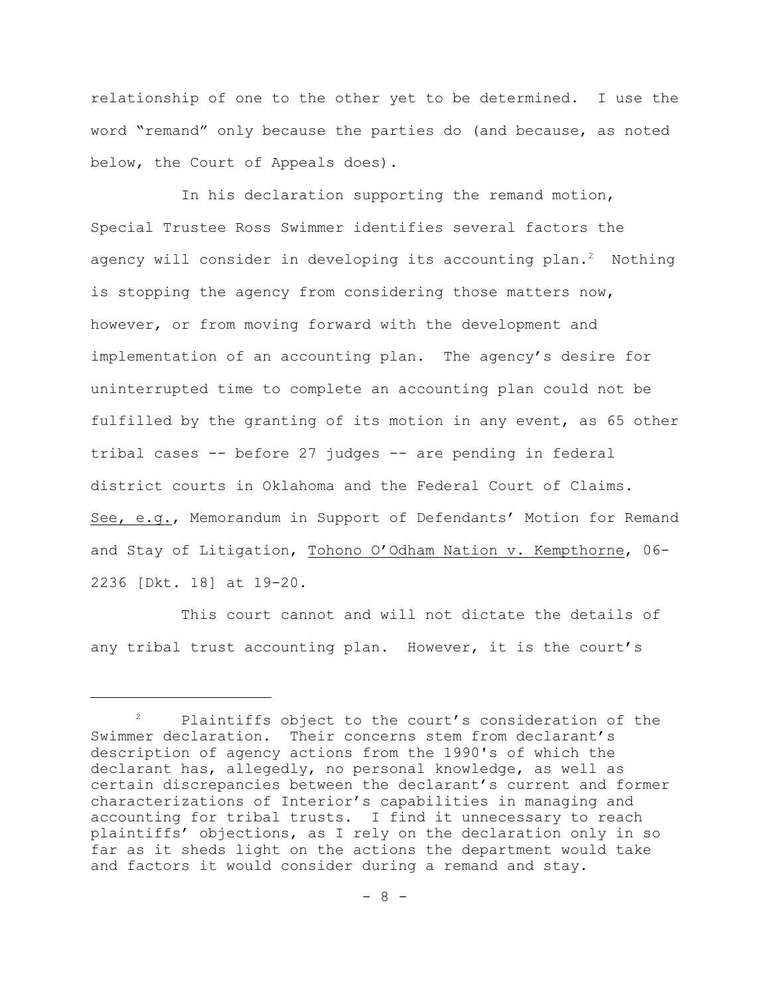relationship of one to the other yet to be determined. I use the word "remand" only because the parties do (and because, as noted below, the Court of Appeals does).

In his declaration supporting the remand motion, Special Trustee Ross Swimmer identifies several factors the agency will consider in developing its accounting plan.<sup>2</sup> Nothing is stopping the agency from considering those matters now, however, or from moving forward with the development and implementation of an accounting plan. The agency's desire for uninterrupted time to complete an accounting plan could not be fulfilled by the granting of its motion in any event, as 65 other tribal cases -- before 27 judges -- are pending in federal district courts in Oklahoma and the Federal Court of Claims. See, e.g., Memorandum in Support of Defendants' Motion for Remand and Stay of Litigation, Tohono O'Odham Nation v. Kempthorne, 06- 2236 [Dkt. 18] at 19-20.

This court cannot and will not dictate the details of any tribal trust accounting plan. However, it is the court's

 $P$  Plaintiffs object to the court's consideration of the Swimmer declaration. Their concerns stem from declarant's description of agency actions from the 1990's of which the declarant has, allegedly, no personal knowledge, as well as certain discrepancies between the declarant's current and former characterizations of Interior's capabilities in managing and accounting for tribal trusts. I find it unnecessary to reach plaintiffs' objections, as I rely on the declaration only in so far as it sheds light on the actions the department would take and factors it would consider during a remand and stay.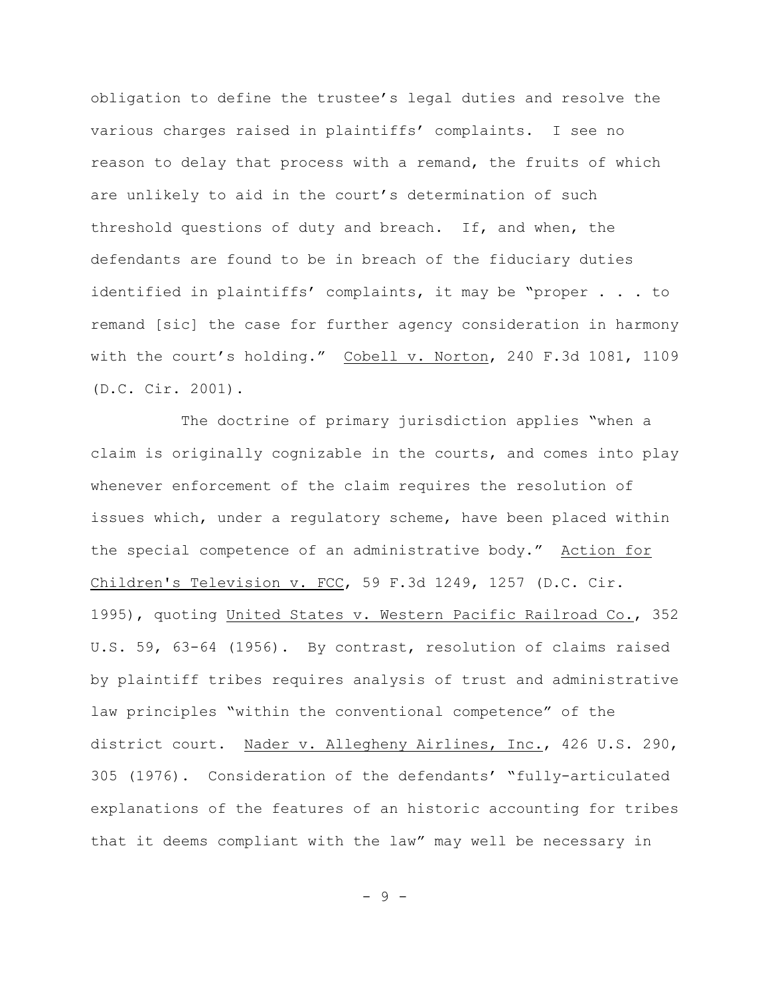obligation to define the trustee's legal duties and resolve the various charges raised in plaintiffs' complaints. I see no reason to delay that process with a remand, the fruits of which are unlikely to aid in the court's determination of such threshold questions of duty and breach. If, and when, the defendants are found to be in breach of the fiduciary duties identified in plaintiffs' complaints, it may be "proper . . . to remand [sic] the case for further agency consideration in harmony with the court's holding." Cobell v. Norton, 240 F.3d 1081, 1109 (D.C. Cir. 2001).

The doctrine of primary jurisdiction applies "when a claim is originally cognizable in the courts, and comes into play whenever enforcement of the claim requires the resolution of issues which, under a regulatory scheme, have been placed within the special competence of an administrative body." Action for Children's Television v. FCC, 59 F.3d 1249, 1257 (D.C. Cir. 1995), quoting United States v. Western Pacific Railroad Co., 352 U.S. 59, 63-64 (1956). By contrast, resolution of claims raised by plaintiff tribes requires analysis of trust and administrative law principles "within the conventional competence" of the district court. Nader v. Allegheny Airlines, Inc., 426 U.S. 290, 305 (1976). Consideration of the defendants' "fully-articulated explanations of the features of an historic accounting for tribes that it deems compliant with the law" may well be necessary in

- 9 -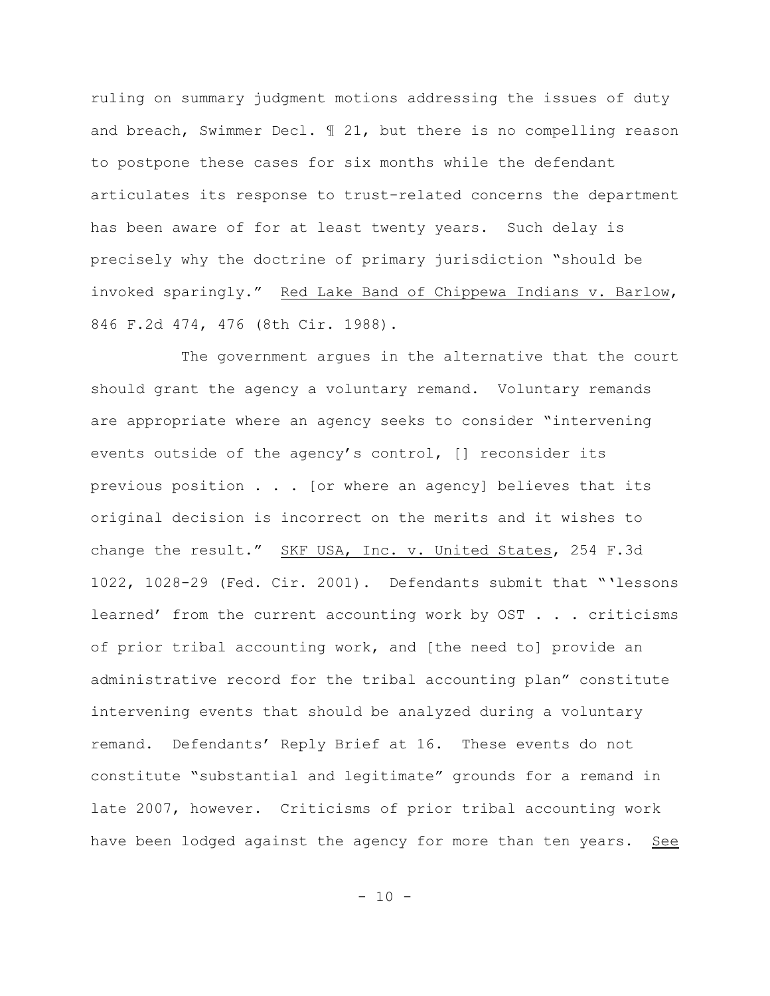ruling on summary judgment motions addressing the issues of duty and breach, Swimmer Decl. ¶ 21, but there is no compelling reason to postpone these cases for six months while the defendant articulates its response to trust-related concerns the department has been aware of for at least twenty years. Such delay is precisely why the doctrine of primary jurisdiction "should be invoked sparingly." Red Lake Band of Chippewa Indians v. Barlow, 846 F.2d 474, 476 (8th Cir. 1988).

The government argues in the alternative that the court should grant the agency a voluntary remand. Voluntary remands are appropriate where an agency seeks to consider "intervening events outside of the agency's control, [] reconsider its previous position . . . [or where an agency] believes that its original decision is incorrect on the merits and it wishes to change the result." SKF USA, Inc. v. United States, 254 F.3d 1022, 1028-29 (Fed. Cir. 2001). Defendants submit that "'lessons learned' from the current accounting work by OST . . . criticisms of prior tribal accounting work, and [the need to] provide an administrative record for the tribal accounting plan" constitute intervening events that should be analyzed during a voluntary remand. Defendants' Reply Brief at 16. These events do not constitute "substantial and legitimate" grounds for a remand in late 2007, however. Criticisms of prior tribal accounting work have been lodged against the agency for more than ten years. See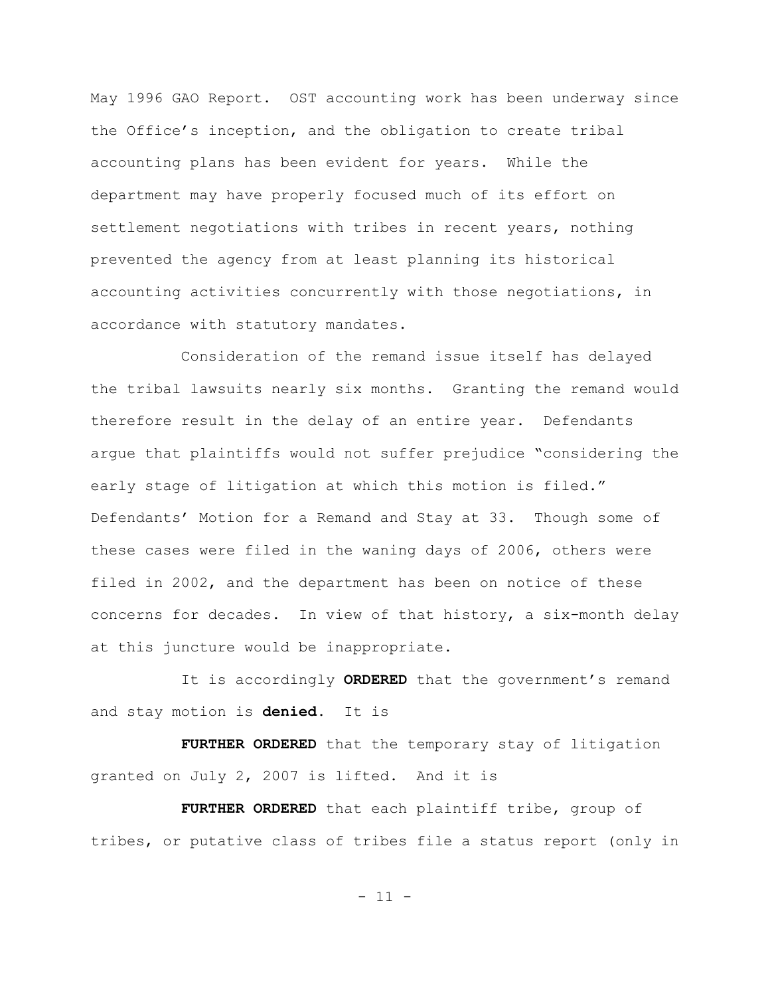May 1996 GAO Report. OST accounting work has been underway since the Office's inception, and the obligation to create tribal accounting plans has been evident for years. While the department may have properly focused much of its effort on settlement negotiations with tribes in recent years, nothing prevented the agency from at least planning its historical accounting activities concurrently with those negotiations, in accordance with statutory mandates.

Consideration of the remand issue itself has delayed the tribal lawsuits nearly six months. Granting the remand would therefore result in the delay of an entire year. Defendants argue that plaintiffs would not suffer prejudice "considering the early stage of litigation at which this motion is filed." Defendants' Motion for a Remand and Stay at 33. Though some of these cases were filed in the waning days of 2006, others were filed in 2002, and the department has been on notice of these concerns for decades. In view of that history, a six-month delay at this juncture would be inappropriate.

It is accordingly **ORDERED** that the government's remand and stay motion is **denied**. It is

**FURTHER ORDERED** that the temporary stay of litigation granted on July 2, 2007 is lifted. And it is

**FURTHER ORDERED** that each plaintiff tribe, group of tribes, or putative class of tribes file a status report (only in

 $-11 -$